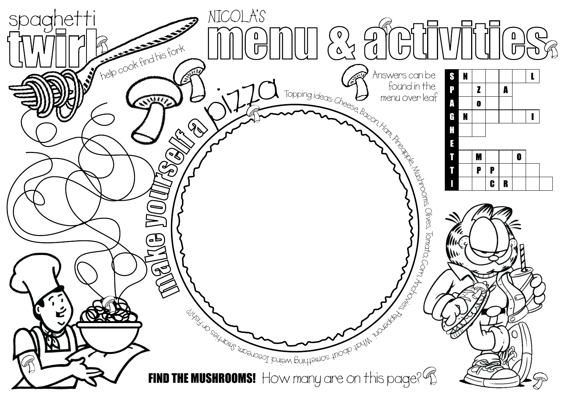